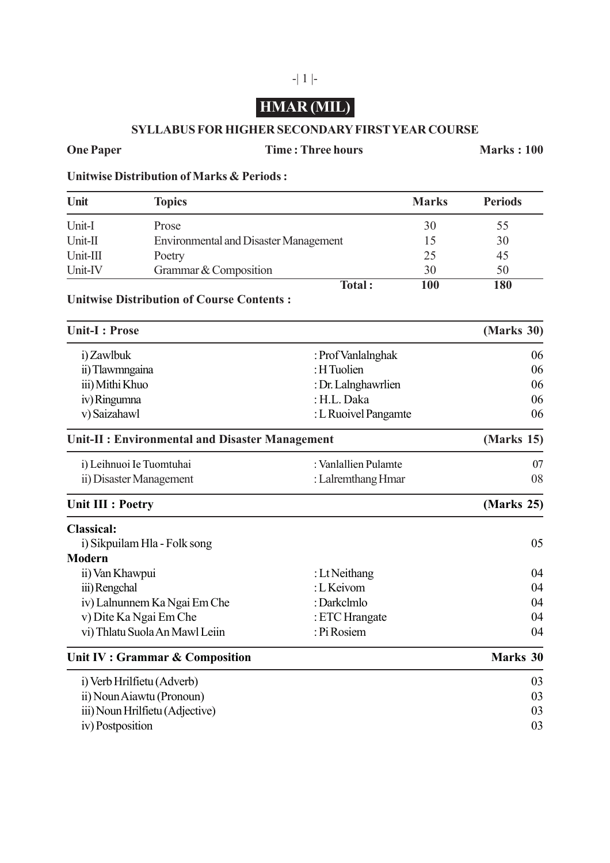# **HMAR (MIL)**

## **SYLLABUS FOR HIGHER SECONDARY FIRST YEAR COURSE**

### **One Paper Time : Three hours Marks : 100**

**Unitwise Distribution of Marks & Periods :**

| Unit     | <b>Topics</b>                                | <b>Marks</b> | <b>Periods</b> |
|----------|----------------------------------------------|--------------|----------------|
| Unit-I   | Prose                                        | 30           | 55             |
| Unit-II  | <b>Environmental and Disaster Management</b> |              | 30             |
| Unit-III | Poetry                                       | 25           | 45             |
| Unit-IV  | Grammar & Composition                        | 30           | 50             |
|          | Total:                                       | 100          | 180            |

# **Unitwise Distribution of Course Contents :**

| <b>Unit-I: Prose</b>                            |                      | (Marks 30) |
|-------------------------------------------------|----------------------|------------|
| i) Zawlbuk                                      | : Prof Vanlalnghak   | 06         |
| ii) Tlawmngaina                                 | : H Tuolien          | 06         |
| iii) Mithi Khuo                                 | : Dr. Lalnghawrlien  | 06         |
| iv) Ringumna                                    | : H.L. Daka          | 06         |
| v) Saizahawl                                    | : L Ruoivel Pangamte | 06         |
| Unit-II : Environmental and Disaster Management | (Marks 15)           |            |
| i) Leihnuoi Ie Tuomtuhai                        | : Vanlallien Pulamte | 07         |
| ii) Disaster Management                         | : Lalremthang Hmar   | 08         |
| <b>Unit III : Poetry</b>                        | (Marks 25)           |            |
| <b>Classical:</b>                               |                      |            |
| i) Sikpuilam Hla - Folk song                    |                      | 05         |
| <b>Modern</b>                                   |                      |            |
| ii) Van Khawpui                                 | : Lt Neithang        | 04         |
| iii) Rengchal                                   | : L Keivom           | 04         |
| iv) Lalnunnem Ka Ngai Em Che                    | : Darkclmlo          | 04         |
| v) Dite Ka Ngai Em Che                          | : ETC Hrangate       | 04         |
| vi) Thlatu Suola An Mawl Leiin                  | : Pi Rosiem          | 04         |
| Unit IV : Grammar & Composition                 | Marks 30             |            |
| i) Verb Hrilfietu (Adverb)                      |                      | 03         |
| ii) Noun Aiawtu (Pronoun)                       | 03                   |            |
| iii) Noun Hrilfietu (Adjective)                 | 03                   |            |
| iv) Postposition                                |                      | 03         |

# -| 1 |-